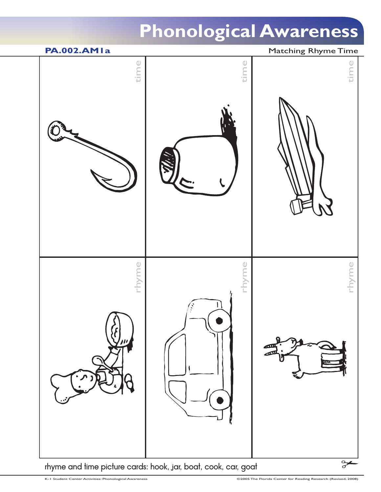

rhyme and time picture cards: hook, jar, boat, cook, car, goat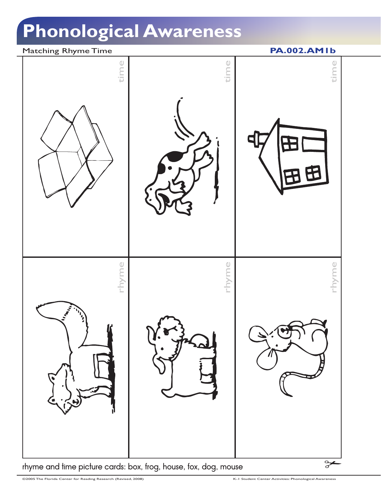### Matching Rhyme Time **PA.002.AM1b**



rhyme and time picture cards: box, frog, house, fox, dog, mouse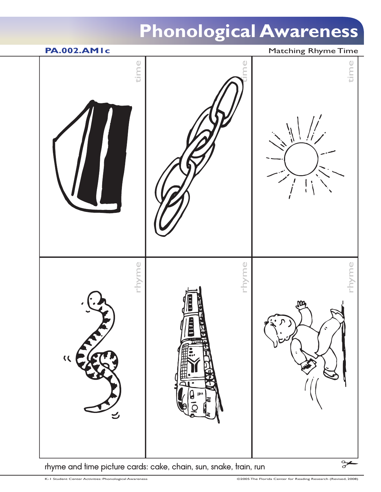

rhyme and time picture cards: cake, chain, sun, snake, train, run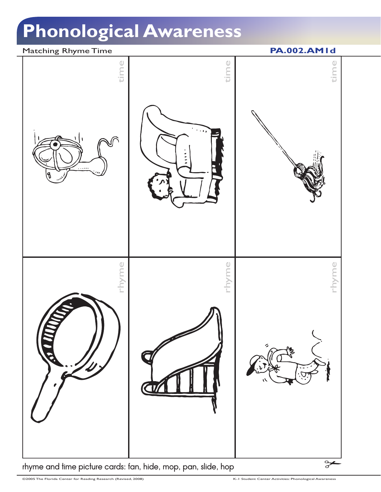### Matching Rhyme Time **PA.002.AM1d**



rhyme and time picture cards: fan, hide, mop, pan, slide, hop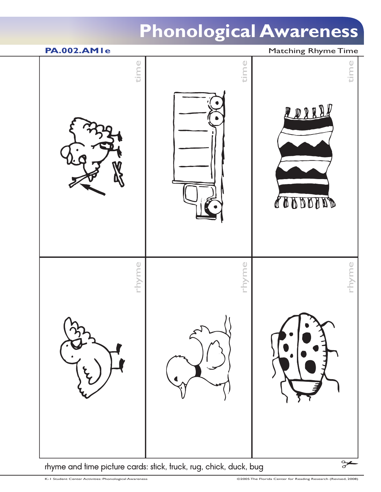

rhyme and time picture cards: stick, truck, rug, chick, duck, bug